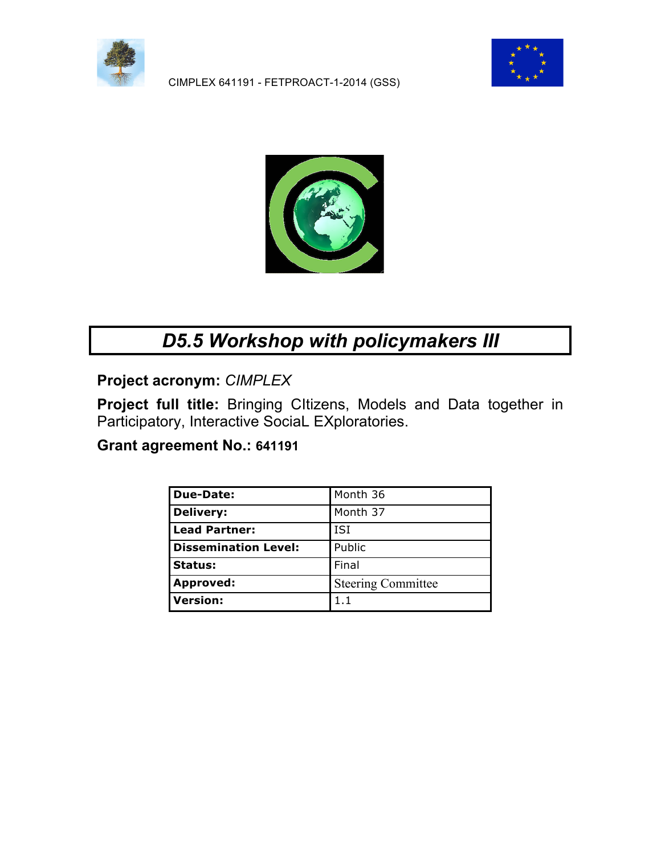

CIMPLEX 641191 - FETPROACT-1-2014 (GSS)





# *D5.5 Workshop with policymakers III*

**Project acronym:** *CIMPLEX*

**Project full title:** Bringing CItizens, Models and Data together in Participatory, Interactive SociaL EXploratories.

### **Grant agreement No.: 641191**

| <b>Due-Date:</b>            | Month 36                  |
|-----------------------------|---------------------------|
| <b>Delivery:</b>            | Month 37                  |
| <b>Lead Partner:</b>        | <b>ISI</b>                |
| <b>Dissemination Level:</b> | Public                    |
| <b>Status:</b>              | Final                     |
| <b>Approved:</b>            | <b>Steering Committee</b> |
| Version:                    | 1.1                       |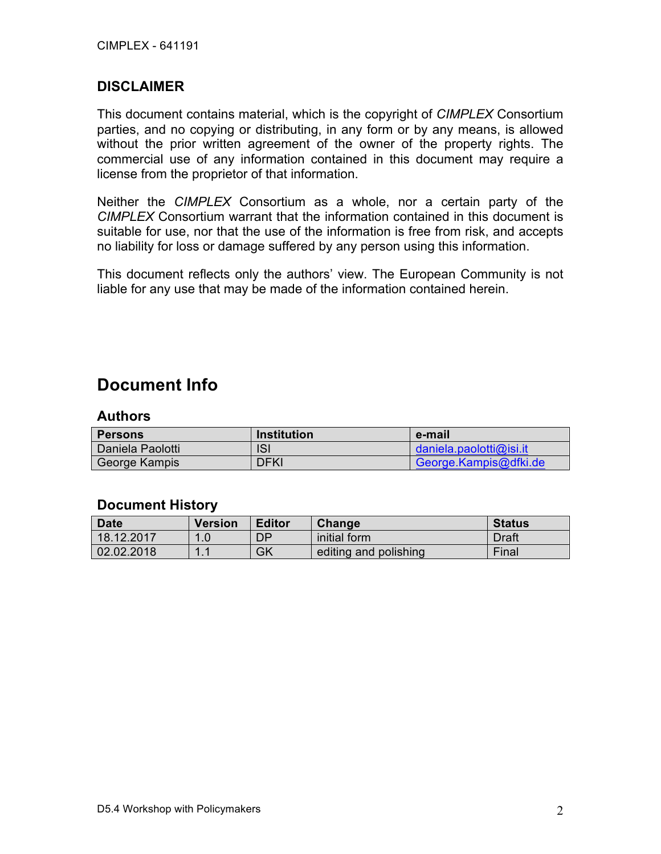#### **DISCLAIMER**

This document contains material, which is the copyright of *CIMPLEX* Consortium parties, and no copying or distributing, in any form or by any means, is allowed without the prior written agreement of the owner of the property rights. The commercial use of any information contained in this document may require a license from the proprietor of that information.

Neither the *CIMPLEX* Consortium as a whole, nor a certain party of the *CIMPLEX* Consortium warrant that the information contained in this document is suitable for use, nor that the use of the information is free from risk, and accepts no liability for loss or damage suffered by any person using this information.

This document reflects only the authors' view. The European Community is not liable for any use that may be made of the information contained herein.

## **Document Info**

#### **Authors**

| <b>Persons</b>   | <b>Institution</b> | e-mail                  |
|------------------|--------------------|-------------------------|
| Daniela Paolotti | ISI                | daniela.paolotti@isi.it |
| George Kampis    | DFKI               | George.Kampis@dfki.de   |

#### **Document History**

| <b>Date</b> | <b>Version</b> | <b>Editor</b> | Change                | <b>Status</b> |
|-------------|----------------|---------------|-----------------------|---------------|
| 18.12.2017  |                | DP            | initial form          | Draft         |
| 02.02.2018  |                | GK            | editing and polishing | Final         |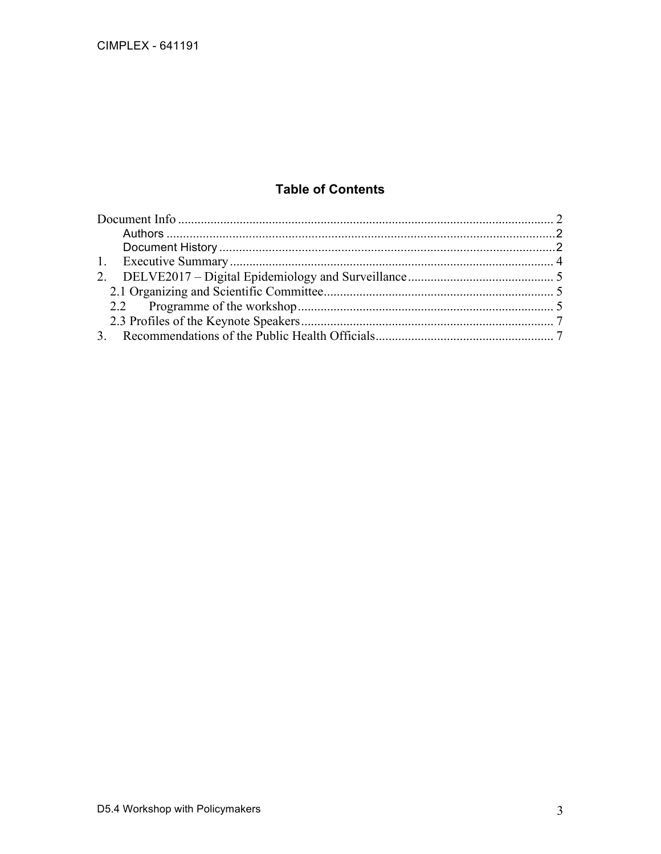### **Table of Contents**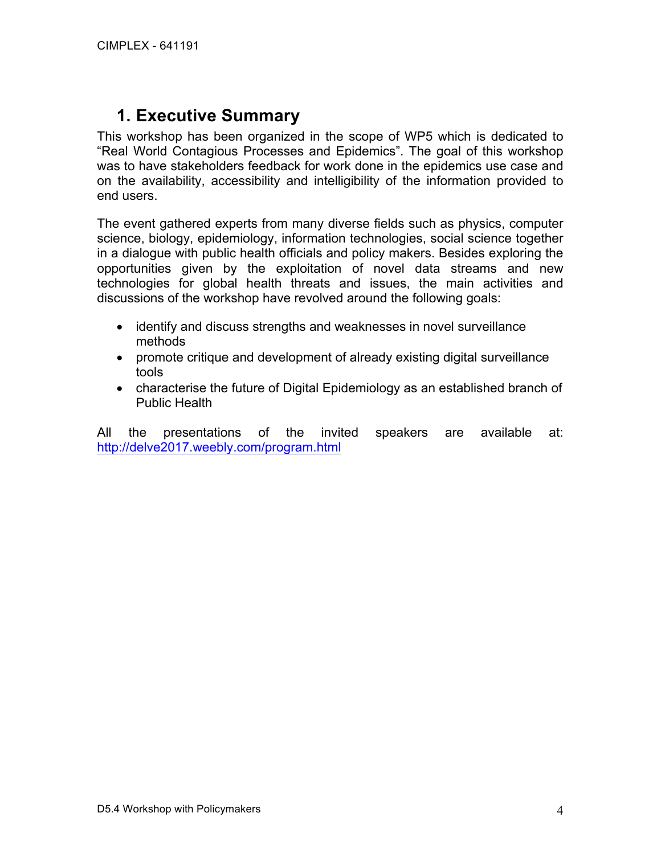## **1. Executive Summary**

This workshop has been organized in the scope of WP5 which is dedicated to "Real World Contagious Processes and Epidemics". The goal of this workshop was to have stakeholders feedback for work done in the epidemics use case and on the availability, accessibility and intelligibility of the information provided to end users.

The event gathered experts from many diverse fields such as physics, computer science, biology, epidemiology, information technologies, social science together in a dialogue with public health officials and policy makers. Besides exploring the opportunities given by the exploitation of novel data streams and new technologies for global health threats and issues, the main activities and discussions of the workshop have revolved around the following goals:

- identify and discuss strengths and weaknesses in novel surveillance methods
- promote critique and development of already existing digital surveillance tools
- characterise the future of Digital Epidemiology as an established branch of Public Health

All the presentations of the invited speakers are available at: http://delve2017.weebly.com/program.html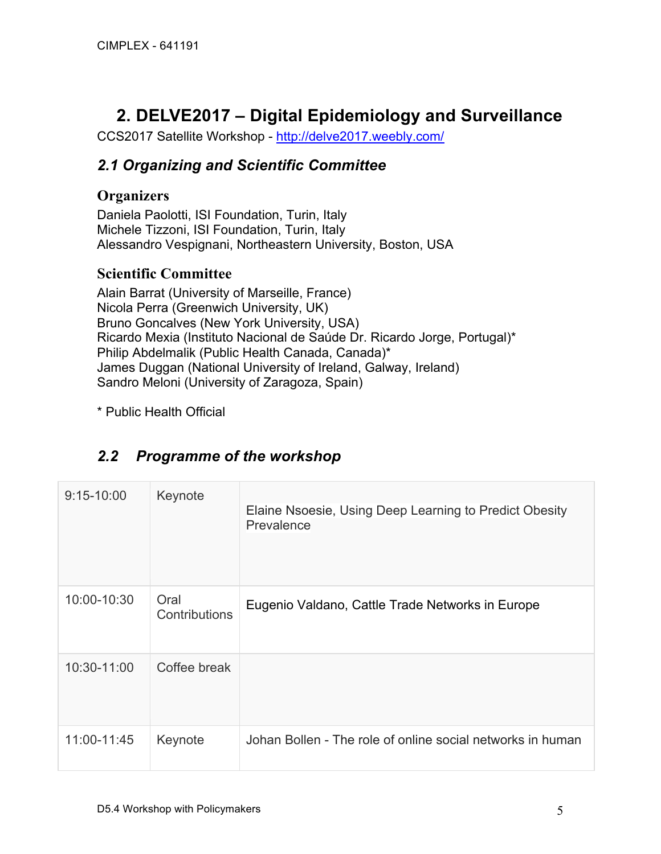## **2. DELVE2017 – Digital Epidemiology and Surveillance**

CCS2017 Satellite Workshop - http://delve2017.weebly.com/

### *2.1 Organizing and Scientific Committee*

### **Organizers**

Daniela Paolotti, ISI Foundation, Turin, Italy Michele Tizzoni, ISI Foundation, Turin, Italy Alessandro Vespignani, Northeastern University, Boston, USA

### **Scientific Committee**

Alain Barrat (University of Marseille, France) Nicola Perra (Greenwich University, UK) Bruno Goncalves (New York University, USA) Ricardo Mexia (Instituto Nacional de Saúde Dr. Ricardo Jorge, Portugal)\* Philip Abdelmalik (Public Health Canada, Canada)\* James Duggan (National University of Ireland, Galway, Ireland) Sandro Meloni (University of Zaragoza, Spain)

\* Public Health Official

## *2.2 Programme of the workshop*

| $9:15 - 10:00$<br>Keynote |                       | Elaine Nsoesie, Using Deep Learning to Predict Obesity     |
|---------------------------|-----------------------|------------------------------------------------------------|
|                           |                       | Prevalence                                                 |
| 10:00-10:30               | Oral<br>Contributions | Eugenio Valdano, Cattle Trade Networks in Europe           |
| 10:30-11:00               | Coffee break          |                                                            |
| 11:00-11:45               | Keynote               | Johan Bollen - The role of online social networks in human |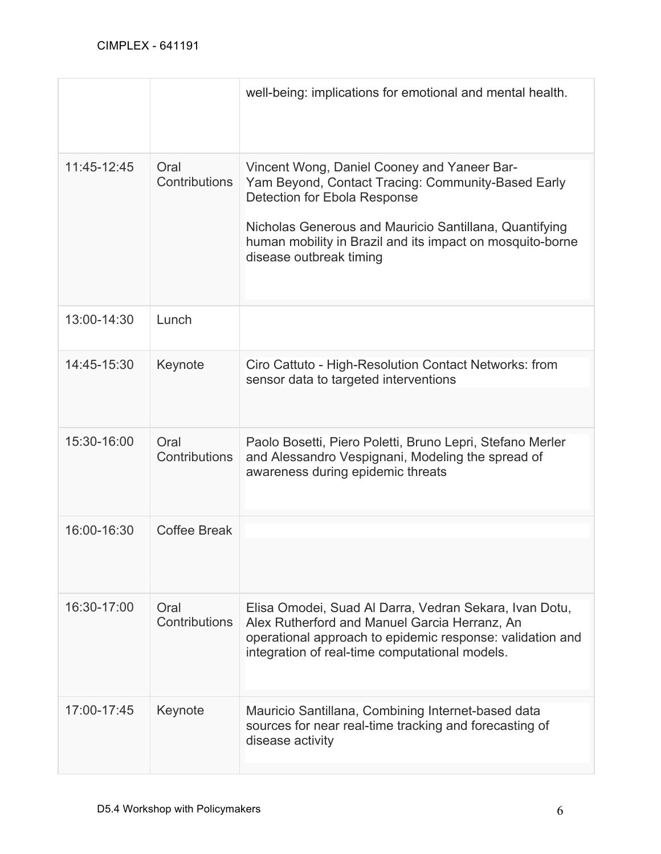|             |                       | well-being: implications for emotional and mental health.                                                                                                                                                                                                                           |
|-------------|-----------------------|-------------------------------------------------------------------------------------------------------------------------------------------------------------------------------------------------------------------------------------------------------------------------------------|
| 11:45-12:45 | Oral<br>Contributions | Vincent Wong, Daniel Cooney and Yaneer Bar-<br>Yam Beyond, Contact Tracing: Community-Based Early<br>Detection for Ebola Response<br>Nicholas Generous and Mauricio Santillana, Quantifying<br>human mobility in Brazil and its impact on mosquito-borne<br>disease outbreak timing |
| 13:00-14:30 | Lunch                 |                                                                                                                                                                                                                                                                                     |
| 14:45-15:30 | Keynote               | Ciro Cattuto - High-Resolution Contact Networks: from<br>sensor data to targeted interventions                                                                                                                                                                                      |
| 15:30-16:00 | Oral<br>Contributions | Paolo Bosetti, Piero Poletti, Bruno Lepri, Stefano Merler<br>and Alessandro Vespignani, Modeling the spread of<br>awareness during epidemic threats                                                                                                                                 |
| 16:00-16:30 | Coffee Break          |                                                                                                                                                                                                                                                                                     |
| 16:30-17:00 | Oral<br>Contributions | Elisa Omodei, Suad Al Darra, Vedran Sekara, Ivan Dotu,<br>Alex Rutherford and Manuel Garcia Herranz, An<br>operational approach to epidemic response: validation and<br>integration of real-time computational models.                                                              |
| 17:00-17:45 | Keynote               | Mauricio Santillana, Combining Internet-based data<br>sources for near real-time tracking and forecasting of<br>disease activity                                                                                                                                                    |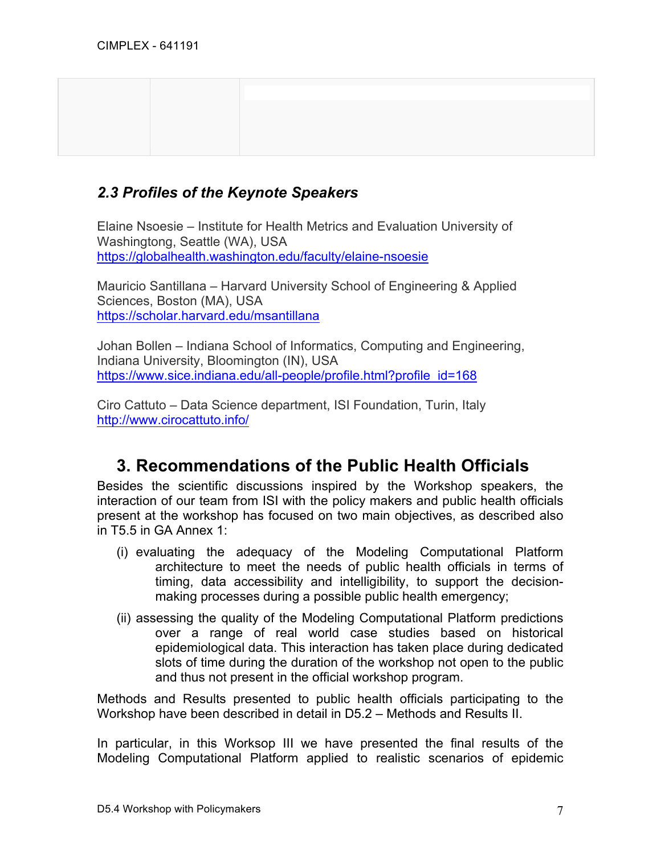### *2.3 Profiles of the Keynote Speakers*

Elaine Nsoesie – Institute for Health Metrics and Evaluation University of Washingtong, Seattle (WA), USA https://globalhealth.washington.edu/faculty/elaine-nsoesie

Mauricio Santillana – Harvard University School of Engineering & Applied Sciences, Boston (MA), USA https://scholar.harvard.edu/msantillana

Johan Bollen – Indiana School of Informatics, Computing and Engineering, Indiana University, Bloomington (IN), USA https://www.sice.indiana.edu/all-people/profile.html?profile\_id=168

Ciro Cattuto – Data Science department, ISI Foundation, Turin, Italy http://www.cirocattuto.info/

## **3. Recommendations of the Public Health Officials**

Besides the scientific discussions inspired by the Workshop speakers, the interaction of our team from ISI with the policy makers and public health officials present at the workshop has focused on two main objectives, as described also in T5.5 in GA Annex 1:

- (i) evaluating the adequacy of the Modeling Computational Platform architecture to meet the needs of public health officials in terms of timing, data accessibility and intelligibility, to support the decisionmaking processes during a possible public health emergency;
- (ii) assessing the quality of the Modeling Computational Platform predictions over a range of real world case studies based on historical epidemiological data. This interaction has taken place during dedicated slots of time during the duration of the workshop not open to the public and thus not present in the official workshop program.

Methods and Results presented to public health officials participating to the Workshop have been described in detail in D5.2 – Methods and Results II.

In particular, in this Worksop III we have presented the final results of the Modeling Computational Platform applied to realistic scenarios of epidemic